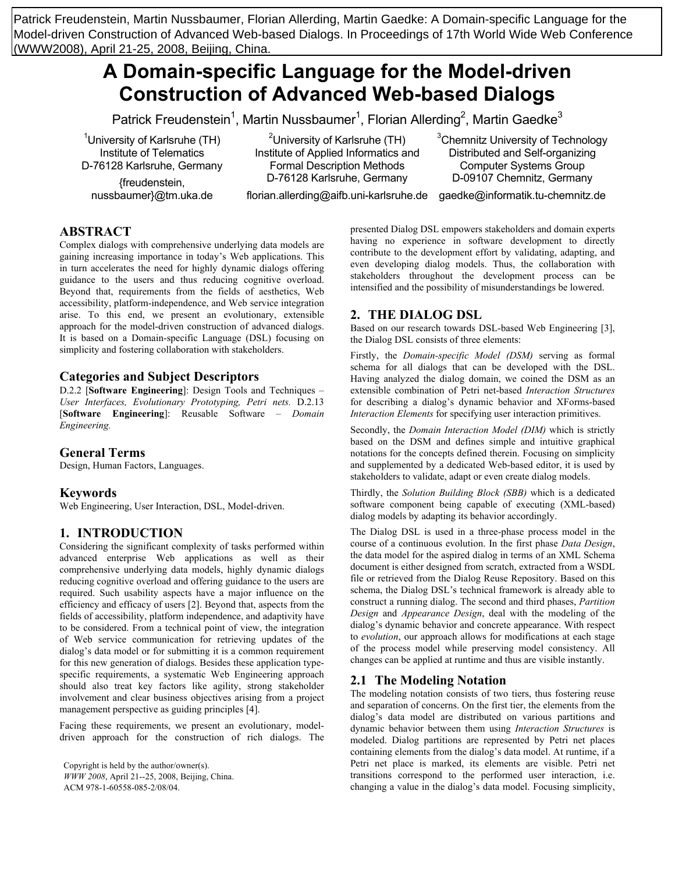Patrick Freudenstein, Martin Nussbaumer, Florian Allerding, Martin Gaedke: A Domain-specific Language for the Model-driven Construction of Advanced Web-based Dialogs. In Proceedings of 17th World Wide Web Conference (WWW2008), April 21-25, 2008, Beijing, China.

# **A Domain-specific Language for the Model-driven Construction of Advanced Web-based Dialogs**

Patrick Freudenstein<sup>1</sup>, Martin Nussbaumer<sup>1</sup>, Florian Allerding<sup>2</sup>, Martin Gaedke<sup>3</sup>

<sup>1</sup>University of Karlsruhe (TH) Institute of Telematics D-76128 Karlsruhe, Germany

{freudenstein, nussbaumer}@tm.uka.de

<sup>2</sup>University of Karlsruhe (TH) Institute of Applied Informatics and Formal Description Methods D-76128 Karlsruhe, Germany

florian.allerding@aifb.uni-karlsruhe.de gaedke@informatik.tu-chemnitz.de

<sup>3</sup>Chemnitz University of Technology Distributed and Self-organizing Computer Systems Group D-09107 Chemnitz, Germany

**ABSTRACT**

Complex dialogs with comprehensive underlying data models are gaining increasing importance in today's Web applications. This in turn accelerates the need for highly dynamic dialogs offering guidance to the users and thus reducing cognitive overload. Beyond that, requirements from the fields of aesthetics, Web accessibility, platform-independence, and Web service integration arise. To this end, we present an evolutionary, extensible approach for the model-driven construction of advanced dialogs. It is based on a Domain-specific Language (DSL) focusing on simplicity and fostering collaboration with stakeholders.

# **Categories and Subject Descriptors**

D.2.2 [**Software Engineering**]: Design Tools and Techniques – *User Interfaces, Evolutionary Prototyping, Petri nets.* D.2.13 [**Software Engineering**]: Reusable Software – *Domain Engineering.* 

# **General Terms**

Design, Human Factors, Languages.

### **Keywords**

Web Engineering, User Interaction, DSL, Model-driven.

# **1. INTRODUCTION**

Considering the significant complexity of tasks performed within advanced enterprise Web applications as well as their comprehensive underlying data models, highly dynamic dialogs reducing cognitive overload and offering guidance to the users are required. Such usability aspects have a major influence on the efficiency and efficacy of users [2]. Beyond that, aspects from the fields of accessibility, platform independence, and adaptivity have to be considered. From a technical point of view, the integration of Web service communication for retrieving updates of the dialog's data model or for submitting it is a common requirement for this new generation of dialogs. Besides these application typespecific requirements, a systematic Web Engineering approach should also treat key factors like agility, strong stakeholder involvement and clear business objectives arising from a project management perspective as guiding principles [4].

Facing these requirements, we present an evolutionary, modeldriven approach for the construction of rich dialogs. The

Copyright is held by the author/owner(s). *WWW 2008*, April 21--25, 2008, Beijing, China. ACM 978-1-60558-085-2/08/04.

presented Dialog DSL empowers stakeholders and domain experts having no experience in software development to directly contribute to the development effort by validating, adapting, and even developing dialog models. Thus, the collaboration with stakeholders throughout the development process can be intensified and the possibility of misunderstandings be lowered.

# **2. THE DIALOG DSL**

Based on our research towards DSL-based Web Engineering [3], the Dialog DSL consists of three elements:

Firstly, the *Domain-specific Model (DSM)* serving as formal schema for all dialogs that can be developed with the DSL. Having analyzed the dialog domain, we coined the DSM as an extensible combination of Petri net-based *Interaction Structures* for describing a dialog's dynamic behavior and XForms-based *Interaction Elements* for specifying user interaction primitives.

Secondly, the *Domain Interaction Model (DIM)* which is strictly based on the DSM and defines simple and intuitive graphical notations for the concepts defined therein. Focusing on simplicity and supplemented by a dedicated Web-based editor, it is used by stakeholders to validate, adapt or even create dialog models.

Thirdly, the *Solution Building Block (SBB)* which is a dedicated software component being capable of executing (XML-based) dialog models by adapting its behavior accordingly.

The Dialog DSL is used in a three-phase process model in the course of a continuous evolution. In the first phase *Data Design*, the data model for the aspired dialog in terms of an XML Schema document is either designed from scratch, extracted from a WSDL file or retrieved from the Dialog Reuse Repository. Based on this schema, the Dialog DSL's technical framework is already able to construct a running dialog. The second and third phases, *Partition Design* and *Appearance Design*, deal with the modeling of the dialog's dynamic behavior and concrete appearance. With respect to *evolution*, our approach allows for modifications at each stage of the process model while preserving model consistency. All changes can be applied at runtime and thus are visible instantly.

# **2.1 The Modeling Notation**

The modeling notation consists of two tiers, thus fostering reuse and separation of concerns. On the first tier, the elements from the dialog's data model are distributed on various partitions and dynamic behavior between them using *Interaction Structures* is modeled. Dialog partitions are represented by Petri net places containing elements from the dialog's data model. At runtime, if a Petri net place is marked, its elements are visible. Petri net transitions correspond to the performed user interaction, i.e. changing a value in the dialog's data model. Focusing simplicity,